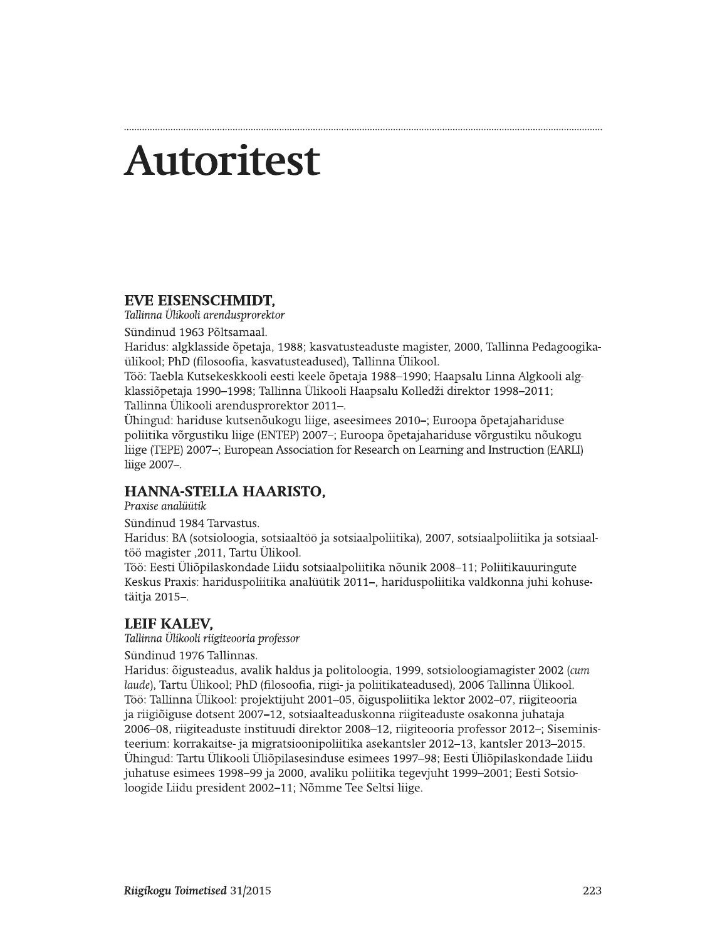# **Autoritest**

## **EVE EISENSCHMIDT,**

Tallinna Ülikooli arendusprorektor

Sündinud 1963 Põltsamaal.

Haridus: algklasside õpetaja, 1988; kasvatusteaduste magister, 2000, Tallinna Pedagoogikaülikool; PhD (filosoofia, kasvatusteadused), Tallinna Ülikool.

Töö: Taebla Kutsekeskkooli eesti keele õpetaja 1988–1990; Haapsalu Linna Algkooli algklassiõpetaja 1990–1998; Tallinna Ülikooli Haapsalu Kolledži direktor 1998–2011; Tallinna Ülikooli arendusprorektor 2011-.

Ühingud: hariduse kutsenõukogu liige, aseesimees 2010–; Euroopa õpetajahariduse poliitika võrgustiku liige (ENTEP) 2007-; Euroopa õpetajahariduse võrgustiku nõukogu liige (TEPE) 2007-; European Association for Research on Learning and Instruction (EARLI) liige 2007-.

# **HANNA-STELLA HAARISTO.**

Praxise analüütik

Sündinud 1984 Tarvastus.

Haridus: BA (sotsioloogia, sotsiaaltöö ja sotsiaalpoliitika), 2007, sotsiaalpoliitika ja sotsiaaltöö magister ,2011, Tartu Ülikool.

Töö: Eesti Üliõpilaskondade Liidu sotsiaalpoliitika nõunik 2008–11; Poliitikauuringute Keskus Praxis: hariduspoliitika analüütik 2011-, hariduspoliitika valdkonna juhi kohusetäitja 2015-.

# **LEIF KALEV,**

Tallinna Ülikooli riigiteooria professor

Sündinud 1976 Tallinnas.

Haridus: õigusteadus, avalik haldus ja politoloogia, 1999, sotsioloogiamagister 2002 (cum laude), Tartu Ülikool; PhD (filosoofia, riigi- ja poliitikateadused), 2006 Tallinna Ülikool. Töö: Tallinna Ülikool: projektijuht 2001–05, õiguspoliitika lektor 2002–07, riigiteooria ja riigiõiguse dotsent 2007–12, sotsiaalteaduskonna riigiteaduste osakonna juhataja 2006–08, riigiteaduste instituudi direktor 2008–12, riigiteooria professor 2012–; Siseministeerium: korrakaitse- ja migratsioonipoliitika asekantsler 2012–13, kantsler 2013–2015. Ühingud: Tartu Ülikooli Üliõpilasesinduse esimees 1997–98; Eesti Üliõpilaskondade Liidu juhatuse esimees 1998–99 ja 2000, avaliku poliitika tegevjuht 1999–2001; Eesti Sotsioloogide Liidu president 2002-11; Nõmme Tee Seltsi liige.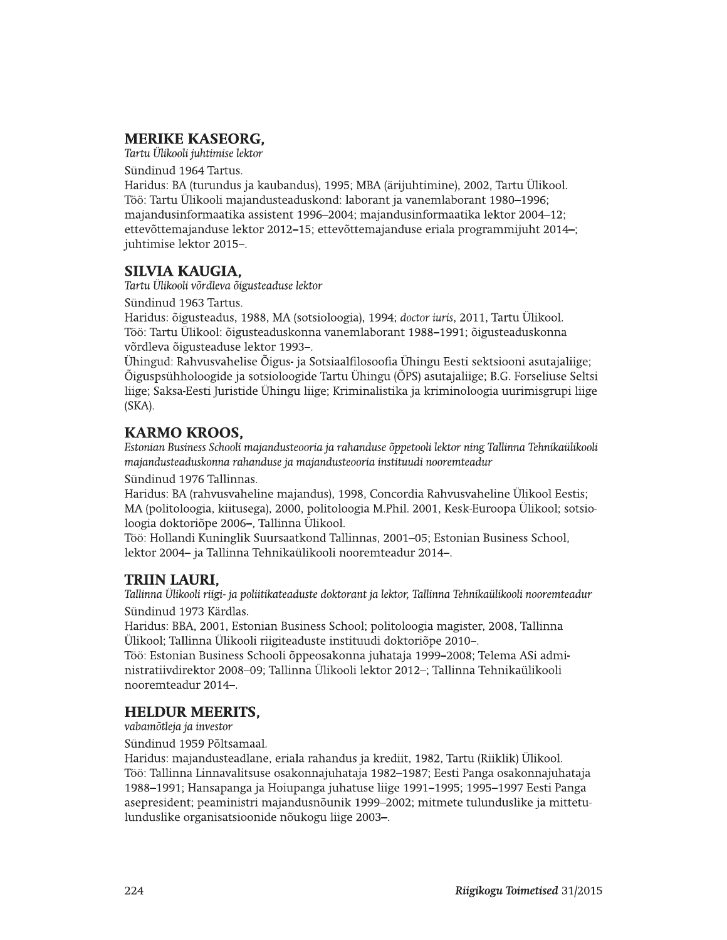# **MERIKE KASEORG.**

Tartu Ülikooli juhtimise lektor

Sündinud 1964 Tartus.

Haridus: BA (turundus ja kaubandus), 1995; MBA (ärijuhtimine), 2002, Tartu Ülikool. Töö: Tartu Ülikooli majandusteaduskond: laborant ja vanemlaborant 1980–1996; majandusinformaatika assistent 1996–2004; majandusinformaatika lektor 2004–12; ettevõttemajanduse lektor 2012–15; ettevõttemajanduse eriala programmijuht 2014–; juhtimise lektor 2015-.

# **SILVIA KAUGIA,**

Tartu Ülikooli võrdleva õigusteaduse lektor

Sündinud 1963 Tartus.

Haridus: õigusteadus, 1988, MA (sotsioloogia), 1994; doctor iuris, 2011, Tartu Ülikool. Töö: Tartu Ülikool: õigusteaduskonna vanemlaborant 1988–1991; õigusteaduskonna võrdleva õigusteaduse lektor 1993-.

Ühingud: Rahvusvahelise Õigus- ja Sotsiaalfilosoofia Ühingu Eesti sektsiooni asutajaliige; Õiguspsühholoogide ja sotsioloogide Tartu Ühingu (ÕPS) asutajaliige; B.G. Forseliuse Seltsi liige; Saksa-Eesti Juristide Ühingu liige; Kriminalistika ja kriminoloogia uurimisgrupi liige (SKA).

# **KARMO KROOS,**

Estonian Business Schooli majandusteooria ja rahanduse õppetooli lektor ning Tallinna Tehnikaülikooli majandusteaduskonna rahanduse ja majandusteooria instituudi nooremteadur

Sündinud 1976 Tallinnas.

Haridus: BA (rahvusvaheline majandus), 1998, Concordia Rahvusvaheline Ülikool Eestis; MA (politoloogia, kiitusega), 2000, politoloogia M.Phil. 2001, Kesk-Euroopa Ülikool; sotsioloogia doktoriõpe 2006–, Tallinna Ülikool.

Töö: Hollandi Kuninglik Suursaatkond Tallinnas, 2001–05; Estonian Business School, lektor 2004- ja Tallinna Tehnikaülikooli nooremteadur 2014-.

# **TRIIN LAURI.**

Tallinna Ülikooli riigi- ja poliitikateaduste doktorant ja lektor, Tallinna Tehnikaülikooli nooremteadur Sündinud 1973 Kärdlas.

Haridus: BBA, 2001, Estonian Business School; politoloogia magister, 2008, Tallinna Ülikool; Tallinna Ülikooli riigiteaduste instituudi doktoriõpe 2010-.

Töö: Estonian Business Schooli õppeosakonna juhataja 1999–2008; Telema ASi administratiivdirektor 2008–09; Tallinna Ülikooli lektor 2012–; Tallinna Tehnikaülikooli nooremteadur 2014-.

# **HELDUR MEERITS,**

vabamõtleja ja investor

Sündinud 1959 Põltsamaal.

Haridus: majandusteadlane, eriala rahandus ja krediit, 1982, Tartu (Riiklik) Ülikool. Töö: Tallinna Linnavalitsuse osakonnajuhataja 1982–1987; Eesti Panga osakonnajuhataja 1988–1991; Hansapanga ja Hoiupanga juhatuse liige 1991–1995; 1995–1997 Eesti Panga asepresident; peaministri majandusnõunik 1999–2002; mitmete tulunduslike ja mittetulunduslike organisatsioonide nõukogu liige 2003-.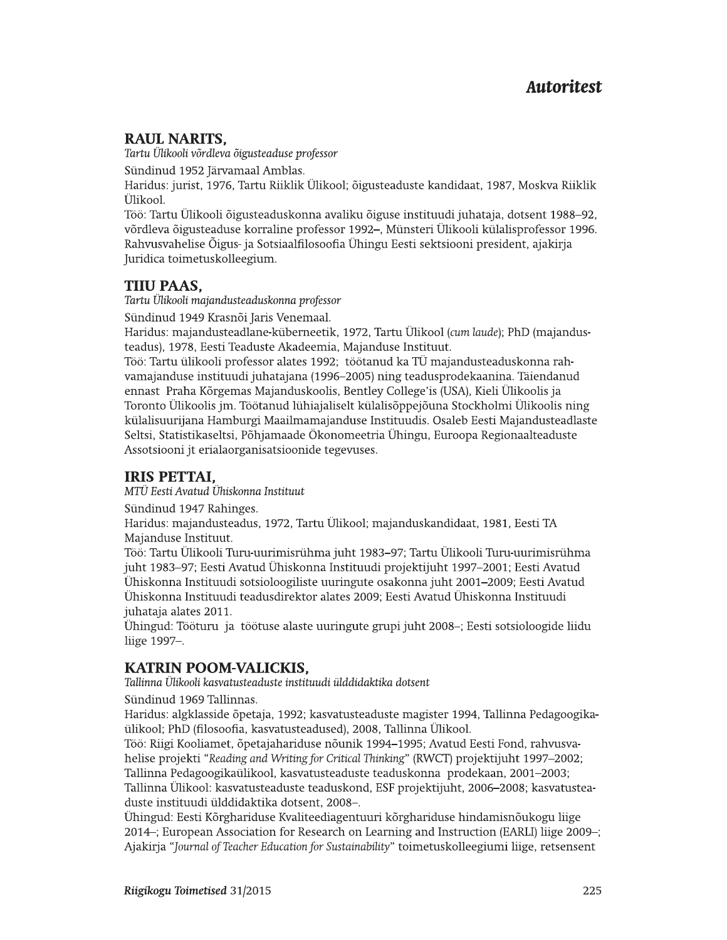**Autoritest**<br> **Autoritest**<br> **RAUL NARITS,**<br>
Tartu Ülikooli võrdleva õigusteaduse professor<br>
Sündinud 1952 Järvamaal Amblas.<br>
Haridus: jurist, 1976, Tartu Riiklik Ülikool; õigusteaduste kandidaat, 1987, Moskva Riiklik<br>
Ülik

teadus), 1978, Eesti Teaduste Akadeemia, Majanduse Instituut.

c !"#\$%&'()\*\*'(%d!e!f-\$0#.!-\$0)\*ff!%1"\*2.00\*" 345675869:;g;9h>@E5T79<@>7E9iV5VA@@BF9 G@>768EH9A@I@568EJV@6B@5V\_P4DV>5VVJ7PK9:;LK9N@>J89QB7PRRB9jklmnoplqrsS9tZu9jA@I@568E\_ Töö: Tartu ülikooli professor alates 1992; töötanud ka TÜ majandusteaduskonna rahvamajanduse instituudi juhatajana (1996–2005) ning teadusprodekaanina. Täiendanud ennast Praha Kõrgemas Majanduskoolis, Bentley College'is (USA), Kieli Ülikoolis ja Toronto Ülikoolis jm. Töötanud lühiajaliselt külalisõppejõuna Stockholmi Ülikoolis ning külalisuurijana Hamburgi Maailmamajanduse Instituudis. Osaleb Eesti Majandusteadlaste Seltsi, Statistikaseltsi, Põhjamaade Ökonomeetria Ühingu, Euroopa Regionaalteaduste Assotsiooni jt erialaorganisatsioonide tegevuses.

# **IRIS PETTAI,**

 $MTÜ$  Eesti Avatud Ühiskonna Instituut

Sündinud 1947 Rahinges.

Haridus: majandusteadus, 1972, Tartu Ülikool; majanduskandidaat, 1981, Eesti TA Majanduse Instituut.

Töö: Tartu Ülikooli Turu-uurimisrühma juht 1983–97; Tartu Ülikooli Turu-uurimisrühma juht 1983–97; Eesti Avatud Ühiskonna Instituudi projektijuht 1997–2001; Eesti Avatud Ühiskonna Instituudi sotsioloogiliste uuringute osakonna juht 2001–2009; Eesti Avatud Ühiskonna Instituudi teadusdirektor alates 2009; Eesti Avatud Ühiskonna Instituudi juhataja alates 2011.

Ühingud: Tööturu ja töötuse alaste uuringute grupi juht 2008-; Eesti sotsioloogide liidu liige 1997-.

ülikool; PhD (filosoofia, kasvatusteadused), 2008, Tallinna Ülikool.

c 1994, Tallinna Instituudi sotsioloogiliste uuringute osakonna juht 2001–2009; Eesti Avatud Ühiskonna Instituudi juhataja alates 2011.<br>
Ühiskonna Instituudi teadusdirektor alates 2009; Eesti Avatud Ühiskonna Instituudi<br>
j Töö: Riigi Kooliamet, õpetajahariduse nõunik 1994–1995; Avatud Eesti Fond, rahvusvahelise projekti "Reading and Writing for Critical Thinking" (RWCT) projektijuht 1997-2002; Tallinna Pedagoogikaülikool, kasvatusteaduste teaduskonna prodekaan, 2001–2003; Tallinna Ülikool: kasvatusteaduste teaduskond, ESF projektijuht, 2006–2008; kasvatusteaduste instituudi ülddidaktika dotsent, 2008-.

> Ühingud: Eesti Kõrghariduse Kvaliteediagentuuri kõrghariduse hindamisnõukogu liige 2014-; European Association for Research on Learning and Instruction (EARLI) liige 2009-; Ajakirja "Journal of Teacher Education for Sustainability" toimetuskolleegiumi liige, retsensent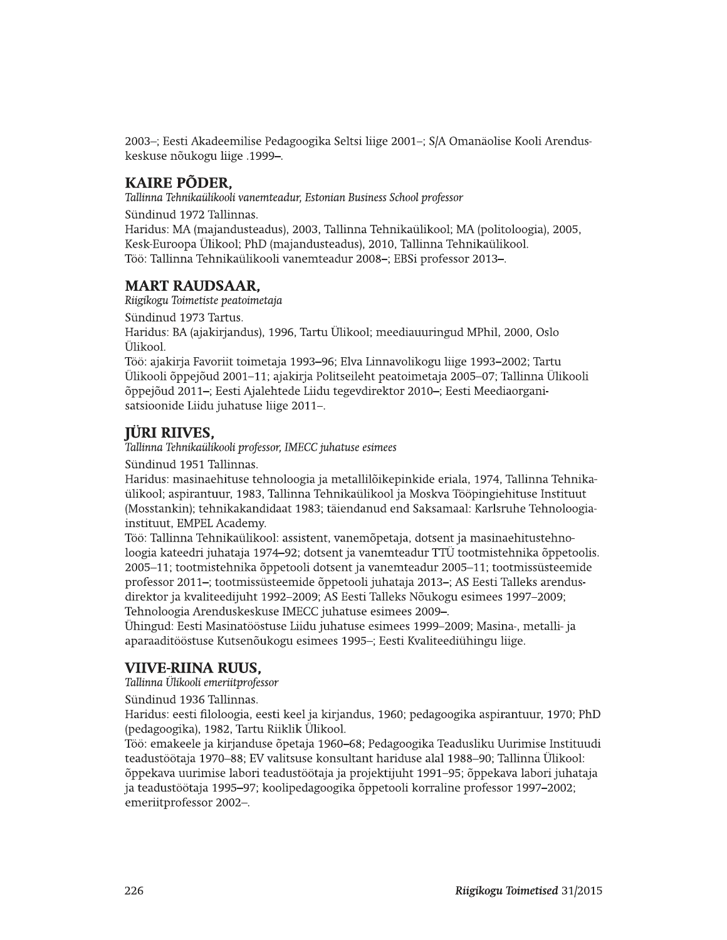2003–; Eesti Akadeemilise Pedagoogika Seltsi liige 2001–; S/A Omanäolise Kooli Arenduskeskuse nõukogu liige .1999-.

### **KAIRE PÕDER,**

Tallinna Tehnikaülikooli vanemteadur, Estonian Business School professor

Sündinud 1972 Tallinnas.

Haridus: MA (majandusteadus), 2003, Tallinna Tehnikaülikool; MA (politoloogia), 2005, Kesk-Euroopa Ülikool; PhD (majandusteadus), 2010, Tallinna Tehnikaülikool. Töö: Tallinna Tehnikaülikooli vanemteadur 2008-; EBSi professor 2013-.

#### **MART RAUDSAAR.**

Riigikogu Toimetiste peatoimetaja

Sündinud 1973 Tartus.

Haridus: BA (ajakirjandus), 1996, Tartu Ülikool; meediauuringud MPhil, 2000, Oslo Ülikool.

Töö: ajakirja Favoriit toimetaja 1993–96; Elva Linnavolikogu liige 1993–2002; Tartu Ülikooli õppejõud 2001–11; ajakirja Politseileht peatoimetaja 2005–07; Tallinna Ülikooli õppejõud 2011-; Eesti Ajalehtede Liidu tegevdirektor 2010-; Eesti Meediaorganisatsioonide Liidu juhatuse liige 2011-.

## **IÜRI RIIVES.**

Tallinna Tehnikaülikooli professor, IMECC juhatuse esimees

Sündinud 1951 Tallinnas.

Haridus: masinaehituse tehnoloogia ja metallilõikepinkide eriala, 1974, Tallinna Tehnikaülikool; aspirantuur, 1983, Tallinna Tehnikaülikool ja Moskva Tööpingiehituse Instituut (Mosstankin); tehnikakandidaat 1983; täiendanud end Saksamaal: Karlsruhe Tehnoloogiainstituut, EMPEL Academy.

Töö: Tallinna Tehnikaülikool: assistent, vanemõpetaja, dotsent ja masinaehitustehnoloogia kateedri juhataja 1974–92; dotsent ja vanemteadur TTÜ tootmistehnika õppetoolis. 2005–11; tootmistehnika õppetooli dotsent ja vanemteadur 2005–11; tootmissüsteemide professor 2011-; tootmissüsteemide õppetooli juhataja 2013-; AS Eesti Talleks arendusdirektor ja kvaliteedijuht 1992–2009; AS Eesti Talleks Nõukogu esimees 1997–2009; Tehnoloogia Arenduskeskuse IMECC juhatuse esimees 2009-.

Ühingud: Eesti Masinatööstuse Liidu juhatuse esimees 1999–2009; Masina-, metalli- ja aparaaditööstuse Kutsenõukogu esimees 1995-; Eesti Kvaliteediühingu liige.

### **VIIVE-RIINA RUUS.**

Tallinna Ülikooli emeriitprofessor

Sündinud 1936 Tallinnas.

Haridus: eesti filoloogia, eesti keel ja kirjandus, 1960; pedagoogika aspirantuur, 1970; PhD (pedagoogika), 1982, Tartu Riiklik Ülikool.

Töö: emakeele ja kirjanduse õpetaja 1960–68; Pedagoogika Teadusliku Uurimise Instituudi teadustöötaja 1970–88; EV valitsuse konsultant hariduse alal 1988–90; Tallinna Ülikool: õppekava uurimise labori teadustöötaja ja projektijuht 1991–95; õppekava labori juhataja ja teadustöötaja 1995–97; koolipedagoogika õppetooli korraline professor 1997–2002; emeriitprofessor 2002-.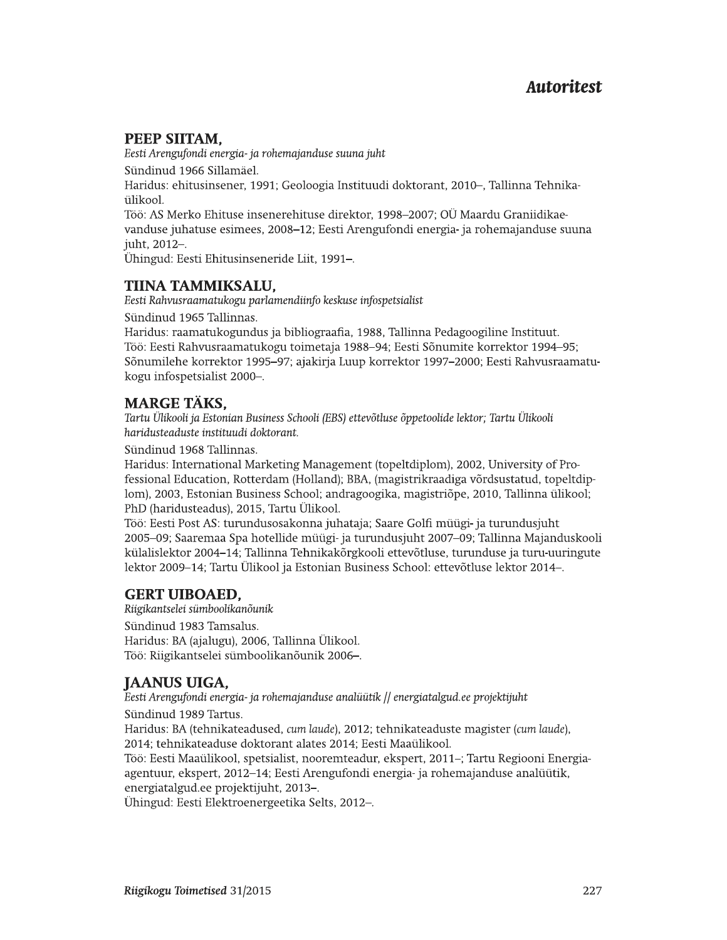# PEEP SIITAM,

Eesti Arengufondi energia- ja rohemajanduse suuna juht

Sündinud 1966 Sillamäel.

Haridus: ehitusinsener, 1991; Geoloogia Instituudi doktorant, 2010–, Tallinna Tehnikaülikool.

Töö: AS Merko Ehituse insenerehituse direktor, 1998-2007; OÜ Maardu Graniidikaevanduse juhatuse esimees, 2008–12; Eesti Arengufondi energia- ja rohemajanduse suuna juht, 2012-.

Ühingud: Eesti Ehitusinseneride Liit, 1991–.

# TIINA TAMMIKSALU,

Eesti Rahvusraamatukogu parlamendiinfo keskuse infospetsialist

Sündinud 1965 Tallinnas.

Haridus: raamatukogundus ja bibliograafia, 1988, Tallinna Pedagoogiline Instituut. Töö: Eesti Rahvusraamatukogu toimetaja 1988–94; Eesti Sõnumite korrektor 1994–95; Sõnumilehe korrektor 1995–97; ajakirja Luup korrektor 1997–2000; Eesti Rahvusraamatukogu infospetsialist 2000-.

# **MARGE TÄKS,**

Tartu Ülikooli ja Estonian Business Schooli (EBS) ettevõtluse õppetoolide lektor; Tartu Ülikooli haridusteaduste instituudi doktorant.

Sündinud 1968 Tallinnas.

Haridus: International Marketing Management (topeltdiplom), 2002, University of Professional Education, Rotterdam (Holland); BBA, (magistrikraadiga võrdsustatud, topeltdiplom), 2003, Estonian Business School; andragoogika, magistriõpe, 2010, Tallinna ülikool; PhD (haridusteadus), 2015, Tartu Ülikool.

Töö: Eesti Post AS: turundusosakonna juhataja; Saare Golfi müügi- ja turundusjuht 2005–09; Saaremaa Spa hotellide müügi- ja turundusjuht 2007–09; Tallinna Majanduskooli külalislektor 2004–14; Tallinna Tehnikakõrgkooli ettevõtluse, turunduse ja turu-uuringute lektor 2009-14; Tartu Ülikool ja Estonian Business School: ettevõtluse lektor 2014-.

# **GERT UIBOAED,**

Riigikantselei sümboolikanõunik Sündinud 1983 Tamsalus. Haridus: BA (ajalugu), 2006, Tallinna Ülikool. Töö: Riigikantselei sümboolikanõunik 2006-.

# **JAANUS UIGA.**

Eesti Arengufondi energia- ja rohemajanduse analüütik // energiatalgud.ee projektijuht

Sündinud 1989 Tartus.

Haridus: BA (tehnikateadused, cum laude), 2012; tehnikateaduste magister (cum laude), 2014; tehnikateaduse doktorant alates 2014; Eesti Maaülikool.

Töö: Eesti Maaülikool, spetsialist, nooremteadur, ekspert, 2011-; Tartu Regiooni Energiaagentuur, ekspert, 2012-14; Eesti Arengufondi energia- ja rohemajanduse analüütik, energiatalgud.ee projektijuht, 2013-.

Ühingud: Eesti Elektroenergeetika Selts, 2012-.